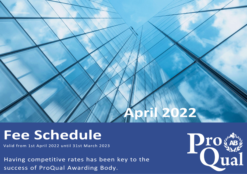# **Koril 2022**

# **Fee Schedule**

Valid from 1st April 2022 until 31st March 2023

Having competitive rates has been key to the success of ProQual Awarding Body.

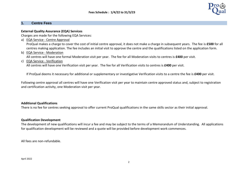

## **1. Centre Fees**

### **External Quality Assurance (EQA) Services**

Charges are made for the following EQA Services:

a) EQA Service - Centre Approval

ProQual makes a charge to cover the cost of initial centre approval, it does not make a charge in subsequent years. The fee is **£500** for all centres making application. The fee includes an initial visit to approve the centre and the qualifications listed on the application form.

b) EQA Service - Moderation

All centres will have one formal Moderation visit per year. The fee for all Moderation visits to centres is **£400** per visit.

c) EQA Service - Verification

All centres will have one Verification visit per year. The fee for all Verification visits to centres is **£400** per visit.

If ProQual deems it necessary for additional or supplementary or investigative Verification visits to a centre the fee is **£400** per visit.

Following centre approval all centres will have one Verification visit per year to maintain centre approved status and, subject to registration and certification activity, one Moderation visit per year.

# **Additional Qualifications**

There is no fee for centres seeking approval to offer current ProQual qualifications in the same skills sector as their initial approval.

### **Qualification Development**

The development of new qualifications will incur a fee and may be subject to the terms of a Memorandum of Understanding. All applications for qualification development will be reviewed and a quote will be provided before development work commences.

All fees are non-refundable.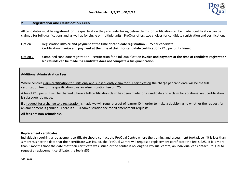

## **2. Registration and Certification Fees**

All candidates must be registered for the qualification they are undertaking before claims for certification can be made. Certification can be claimed for full qualifications and as well as for single or multiple units. ProQual offers two choices for candidate registration and certification:

- Option 1 Registration **invoice and payment at the time of candidate registration** £25 per candidate. Certification **invoice and payment at the time of claim for candidate certification** - £10 per unit claimed.
- Option 2 Combined candidate registration + certification for a full qualification **invoice and payment at the time of candidate registration No refunds can be made if a candidate does not complete a full qualification**.

### **Additional Administration Fees**

Where centres claim certification for units only and subsequently claim for full certification the charge per candidate will be the full certification fee for the qualification plus an administration fee of £25.

A fee of £10 per unit will be charged where a full certification claim has been made for a candidate and a claim for additional unit certification is subsequently made.

If a request for a change to a registration is made we will require proof of learner ID in order to make a decision as to whether the request for an amendment is genuine. There is a £10 administration fee for all amendment requests.

**All fees are non-refundable**.

### **Replacement certificates**

Individuals requiring a replacement certificate should contact the ProQual Centre where the training and assessment took place if it is less than 3 months since the date that their certificate was issued, the ProQual Centre will request a replacement certificate; the fee is £25. If it is more than 3 months since the date that their certificate was issued or the centre is no longer a ProQual centre, an individual can contact ProQual to request a replacement certificate, the fee is £35.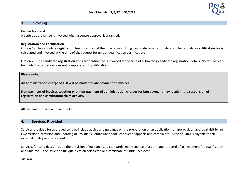### **3. Invoicing**

### **Centre Approval**

A centre approval fee is invoiced when a centre approval is arranged.

### **Registration and Certification**

Option 1 - The candidate **registration** fee is invoiced at the time of submitting candidate registration details. The candidate **certification** fee is calculated and invoiced at the time of the request for unit or qualification certification.

Option 2 – The candidate **registration** and **certification** fee is invoiced at the time of submitting candidate registration details. No refunds can be made if a candidate does not complete a full qualification.

**Please note:**

**An administration charge of £50 will be made for late payment of invoices.** 

**Non-payment of invoices together with non-payment of administration charges for late payment may result in the suspension of registration and certification claim activity.**

All fees are quoted exclusive of VAT.

## **4. Services Provided**

Services provided for approved centres include advice and guidance on the preparation of an application for approval, an approval visit by an EQA Verifier, provision and updating of ProQual's Centre Handbook, conduct of appeals and complaints. A fee of £400 is payable for all external quality assurance visits.

Services for candidates include the provision of guidance and standards, maintenance of a permanent record of achievement (at qualification and unit level), the issue of a full qualification certificate or a certificate of unit(s) achieved.

April 2022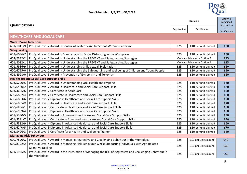

| <b>Qualifications</b>          |                                                                                                                             | Option 1     |                              | <b>Option 2</b><br>Combined<br>Registration |
|--------------------------------|-----------------------------------------------------------------------------------------------------------------------------|--------------|------------------------------|---------------------------------------------|
|                                |                                                                                                                             | Registration | Certification                | and<br>Certification                        |
|                                | <b>HEALTHCARE AND SOCIAL CARE</b>                                                                                           |              |                              |                                             |
| <b>Water Borne Infections</b>  |                                                                                                                             |              |                              |                                             |
| 601/1011/9                     | ProQual Level 2 Award in Control of Water Borne Infections Within Healthcare                                                | £25          | £10 per unit claimed         | £30                                         |
| <b>Safeguarding</b>            |                                                                                                                             |              |                              |                                             |
| 603/6036/7                     | ProQual Level 2 Award in Complying with Social Distancing in the Workplace                                                  | £25          | £10 per unit claimed         | £30                                         |
| 603/2332/2                     | ProQual Level 1 Award in Understanding the PREVENT and Safeguarding Strategies                                              |              | Only available with Option 2 | £35                                         |
| 601/8082/1                     | ProQual Level 2 Award in Understanding the PREVENT and Safeguarding Strategies                                              |              | Only available with Option 2 | £35                                         |
| 601/5916/9                     | ProQual Level 2 Award in Understanding Child Sexual Exploitation                                                            | £25          | £10 per unit claimed         | £30                                         |
| 600/6795/0                     | ProQual Level 2 Award in Understanding the Safeguarding and Wellbeing of Children and Young People                          | £25          | £10 per unit claimed         | £50                                         |
| 603/4998/0                     | ProQual Level 3 Award in Prevention of Extremism and Terrorism                                                              | £25          | £10 per unit claimed         | £30                                         |
|                                | <b>Healthcare and Social Care Support Skills</b>                                                                            |              |                              |                                             |
| 603/5290/5                     | ProQual Level 2 Award in Understanding Oral Health and Hygiene                                                              | £25          | £10 per unit claimed         | £30                                         |
| 600/6460/2                     | ProQual Level 2 Award in Healthcare and Social Care Support Skills                                                          | £25          | £10 per unit claimed         | £30                                         |
| 603/3645/6                     | ProQual Level 2 Certificate in Adult Care                                                                                   | £25          | £10 per unit claimed         | £50                                         |
| 600/6802/4                     | ProQual Level 2 Certificate in Healthcare and Social Care Support Skills                                                    | £25          | £10 per unit claimed         | £50                                         |
| 600/6803/6                     | ProQual Level 2 Diploma in Healthcare and Social Care Support Skills                                                        | £25          | £10 per unit claimed         | £70                                         |
| 600/6805/X                     | ProQual Level 3 Award in Healthcare and Social Care Support Skills                                                          | £25          | £10 per unit claimed         | £40                                         |
| 600/6806/1                     | ProQual Level 3 Certificate in Healthcare and Social Care Support Skills                                                    | £25          | £10 per unit claimed         | £60                                         |
| 600/6959/4                     | ProQual Level 3 Diploma in Healthcare and Social Care Support Skills                                                        | £25          | £10 per unit claimed         | £80                                         |
| 601/5380/5                     | ProQual Level 4 Award in Advanced Healthcare and Social Care Support Skills                                                 | £25          | £10 per unit claimed         | £30                                         |
| 601/5381/7                     | ProQual Level 4 Certificate in Advanced Healthcare and Social Care Support Skills                                           | £25          | £10 per unit claimed         | £40                                         |
| 601/5382/9                     | ProQual Level 4 Diploma in Advanced Healthcare and Social Care Support Skills                                               | £25          | £10 per unit claimed         | £60                                         |
| 601/6240/5                     | ProQual Level 5 Diploma in Advanced Healthcare and Social Care Support Skills                                               | £25          | £10 per unit claimed         | £70                                         |
| 603/5496/3                     | ProQual Level 3 Certificate for a Health and Wellbeing Trainer                                                              | £25          | £10 per unit claimed         | £60                                         |
| <b>Managing Risk Behaviour</b> |                                                                                                                             |              |                              |                                             |
| 600/7890/X                     | ProQual Level 4 Award in Managing Aggressive and Challenging Behaviour in the Workplace                                     | £25          | £10 per unit claimed         | £40                                         |
| 600/8192/2                     | ProQual Level 4 Award in Managing Risk Behaviour Whilst Supporting Individuals with Age-Related<br><b>Cognitive Decline</b> | £25          | £10 per unit claimed         | £30                                         |
| 601/1975/5                     | ProQual Level 4 Award in the Instruction of Managing the Risk of Aggressive and Challenging Behaviour in<br>the Workplace   | £25          | £10 per unit claimed         | £50                                         |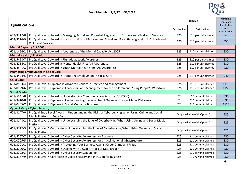

| <b>Qualifications</b>            |                                                                                                                                     | Option 1                     |                              | Option 2<br>Combined<br>Registration |
|----------------------------------|-------------------------------------------------------------------------------------------------------------------------------------|------------------------------|------------------------------|--------------------------------------|
|                                  |                                                                                                                                     | Registration                 | Certification                | and<br>Certification                 |
| 603/3317/0                       | ProQual Level 4 Award in Managing Actual and Potential Aggression in Schools and Childrens' Services                                | £25                          | £10 per unit claimed         | £40                                  |
| 603/3316/9                       | ProQual Level 4 Award in the Instruction of Management Actual and Potential Aggression in Schools and<br><b>Childrens' Services</b> | £25                          | £10 per unit claimed         | £50                                  |
| <b>Mental Capacity Act 2005</b>  |                                                                                                                                     |                              |                              |                                      |
| 601/1464/2                       | ProQual Level 3 Award in Awareness of the Mental Capacity Act 2005                                                                  | £25                          | £10 per unit claimed         | £30                                  |
| <b>Mental Health / First Aid</b> |                                                                                                                                     |                              |                              |                                      |
| 603/5498/7                       | ProQual Level 2 Award in First Aid at Work Awareness                                                                                | £25                          | £10 per unit claimed         | £30                                  |
| 603/4234/1                       | ProQual Level 2 Award in Mental Health First Aid Awareness                                                                          | £25                          | £10 per unit claimed         | £30                                  |
| 603/4541/X                       | ProQual Level 2 Award in Youth Mental Health First Aid Awareness                                                                    | £25                          | £10 per unit claimed         | £30                                  |
|                                  | <b>Promoting Employment in Social Care</b>                                                                                          |                              |                              |                                      |
| 601/4424/5                       | ProQual Level 2 Award in Promoting Employment in Social Care                                                                        | £25                          | £10 per unit claimed         | £40                                  |
| <b>Child Care</b>                |                                                                                                                                     |                              |                              |                                      |
| 601/8593/4                       | ProQual Level 4 Diploma in Advanced Childcare Practice and Management                                                               | £25                          | £10 per unit claimed         | £110                                 |
| 603/0129/6                       | ProQual Level 5 Diploma in Leadership and Management for the Children and Young People's Workforce                                  | £25                          | £10 per unit claimed         | £150                                 |
| <b>Social Media</b>              |                                                                                                                                     |                              |                              |                                      |
| 601/5941/8                       | ProQual Level 2 Award in Understanding Communication Security (COMSEC)                                                              | £25                          | £10 per unit claimed         | £30                                  |
| 601/3410/0                       | ProQual Level 2 Diploma in Understanding the Safe Use of Online and Social Media Platforms                                          | £25                          | £10 per unit claimed         | £90                                  |
| 601/0465/X                       | ProQual Level 3 Diploma in Social Media for Business                                                                                | £25                          | £10 per unit claimed         | £115                                 |
|                                  | <b>Cyber Safety / Cyber Security</b>                                                                                                |                              |                              |                                      |
| 601/3147/0                       | ProQual Entry Level Award in Understanding the Risks of Cyberbullying When Using Online and Social<br>Media Platforms (Entry 3)     |                              | Only available with Option 2 | £25                                  |
| 601/3148/2                       | ProQual Level 1 Award in Understanding the Risks of Cyberbullying When Using Online and Social Media<br>Platforms                   |                              | Only available with Option 2 | £25                                  |
| 601/3192/5                       | ProQual Level 2 Certificate in Understanding the Risks of Cyberbullying When Using Online and Social<br><b>Media Platforms</b>      | Only available with Option 2 |                              | £25                                  |
| 601/8257/X                       | ProQual Level 2 Award in Cyber Security Awareness for Business                                                                      | £25                          | £10 per unit claimed         | £30                                  |
| 610/0705/5                       | ProQual Level 2 Award in Cyber Security Awareness for Critical National Infrastructure                                              | £25                          | £10 per unit claimed         | £30                                  |
| 603/3701/1                       | ProQual Level 2 Award in Protecting Your Business Against Cyber Crime and Fraud                                                     | £25                          | £10 per unit claimed         | £30                                  |
| 603/3700/X                       | ProQual Level 3 Award in Dealing with a Cyber Attack or Data Breach                                                                 | £25                          | £10 per unit claimed         | £30                                  |
| 603/3702/3                       | ProQual Level 3 Award in Cyber Security Leadership                                                                                  | £25                          | £10 per unit claimed         | £30                                  |
| 601/8167/9                       | ProQual Level 4 Certificate in Cyber Security and Intrusion for Business                                                            | £25                          | £10 per unit claimed         | £50                                  |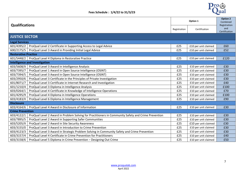

| <b>Qualifications</b>       |                                                                                                     |     | Option 1             | <b>Option 2</b><br>Combined<br>Registration |
|-----------------------------|-----------------------------------------------------------------------------------------------------|-----|----------------------|---------------------------------------------|
|                             |                                                                                                     |     | Certification        | and<br>Certification                        |
| <b>JUSTICE SECTOR</b>       |                                                                                                     |     |                      |                                             |
| <b>Legal Services</b>       |                                                                                                     |     |                      |                                             |
| 601/4395/2                  | ProQual Level 2 Certificate in Supporting Access to Legal Advice                                    | £25 | £10 per unit claimed | £60                                         |
| 600/2175/5                  | ProQual Level 3 Award in Providing Initial Legal Advice                                             | £25 | £10 per unit claimed | £52                                         |
| <b>Restorative Practice</b> |                                                                                                     |     |                      |                                             |
| 601/5448/2                  | ProQual Level 4 Diploma in Restorative Practice                                                     | £25 | £10 per unit claimed | £120                                        |
|                             | <b>Intelligence and Investigation</b>                                                               |     |                      |                                             |
| 603/5608/X                  | ProQual Level 3 Award in Intelligence Analysis                                                      | £25 | £10 per unit claimed | £30                                         |
| 603/7395/7                  | ProQual Level 1 Award in Open Source Intelligence (OSINT)                                           | £25 | £10 per unit claimed | £30                                         |
| 603/7394/5                  | ProQual Level 3 Award in Open Source Intelligence (OSINT)                                           | £25 | £10 per unit claimed | £30                                         |
| 603/2950/6                  | ProQual Level 3 Certificate in the Principles of Private Investigation                              | £25 | £10 per unit claimed | £30                                         |
| 601/8071/7                  | ProQual Level 3 Certificate in Internet Research and Investigation                                  | £25 | £10 per unit claimed | £40                                         |
| 601/1210/4                  | ProQual Level 3 Diploma in Intelligence Analysis                                                    | £25 | £10 per unit claimed | £100                                        |
| 603/0264/1                  | ProQual Level 4 Certificate in Knowledge of Intelligence Operations                                 | £25 | £10 per unit claimed | £70                                         |
| 601/4295/9                  | ProQual Level 4 Diploma in Intelligence Operations                                                  | £25 | £10 per unit claimed | £100                                        |
| 603/4183/X                  | ProQual Level 6 Diploma in Intelligence Management                                                  | £25 | £10 per unit claimed | £90                                         |
| <b>Disclosure</b>           |                                                                                                     |     |                      |                                             |
| 603/4164/6                  | ProQual Level 4 Award in Disclosure of Information                                                  | £25 | £10 per unit claimed | £30                                         |
| <b>Crime Prevention</b>     |                                                                                                     |     |                      |                                             |
| 603/4122/1                  | ProQual Level 2 Award in Problem Solving for Practitioners in Community Safety and Crime Prevention | £25 | £10 per unit claimed | £30                                         |
| 603/7895/5                  | ProQual Level 2 Award in Supporting Safer Communities                                               | £25 | £10 per unit claimed | £30                                         |
| 603/5205/X                  | ProQual Level 2 Award in Site Security Awareness                                                    | £25 | £10 per unit claimed | £30                                         |
| 603/3155/0                  | ProQual Level 3 Award in Introduction to Crime Prevention                                           | £25 | £10 per unit claimed | £30                                         |
| 603/4123/3                  | ProQual Level 3 Award in Strategic Problem Solving in Community Safety and Crime Prevention         | £25 | £10 per unit claimed | £30                                         |
| 603/3157/4                  | ProQual Level 4 Certificate in Crime Prevention for Practitioners                                   | £25 | £10 per unit claimed | £40                                         |
| 603/3158/6                  | ProQual Level 5 Diploma in Crime Prevention - Designing Out Crime                                   | £25 | £10 per unit claimed | £50                                         |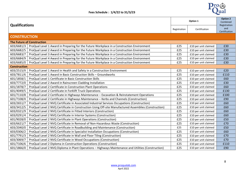

| <b>Qualifications</b> |                                                                                                       |              | Option 1             | <b>Option 2</b><br>Combined          |  |
|-----------------------|-------------------------------------------------------------------------------------------------------|--------------|----------------------|--------------------------------------|--|
|                       |                                                                                                       | Registration | Certification        | Registration<br>and<br>Certification |  |
| <b>CONSTRUCTION</b>   |                                                                                                       |              |                      |                                      |  |
|                       | <b>The Future of Construction</b>                                                                     |              |                      |                                      |  |
| 603/6681/3            | ProQual Level 1 Award in Preparing for the Future Workplace in a Construction Environment             | £25          | £10 per unit claimed | £30                                  |  |
| 603/6682/5            | ProQual Level 2 Award in Preparing for the Future Workplace in a Construction Environment             | £25          | £10 per unit claimed | £30                                  |  |
| 603/6683/7            | ProQual Level 3 Award in Preparing for the Future Workplace in a Construction Environment             | £25          | £10 per unit claimed | £30                                  |  |
| 603/6684/9            | ProQual Level 4 Award in Preparing for the Future Workplace in a Construction Environment             | £25          | £10 per unit claimed | £30                                  |  |
| 603/6685/0            | ProQual Level 5 Award in Preparing for the Future Workplace in a Construction Environment             | £25          | £10 per unit claimed | £30                                  |  |
| <b>Construction</b>   |                                                                                                       |              |                      |                                      |  |
| 603/2515/X            | ProQual Level 1 Award in Health and Safety in a Construction Environment                              | £25          | £10 per unit claimed | £20                                  |  |
| 603/7811/6            | ProQual Level 1 Award in Basic Construction Skills - Groundworks                                      | £25          | £10 per unit claimed | £110                                 |  |
| 601/1858/1            | ProQual Level 1 Certificate in Basic Construction Skills                                              | £25          | £10 per unit claimed | £60                                  |  |
| 603/7772/0            | ProQual Level 2 Award in Rainscreen Cladding Installation                                             | £25          | £10 per unit claimed | £30                                  |  |
| 601/1878/7            | ProQual Level 2 Certificate in Construction Plant Operations                                          | £25          | £10 per unit claimed | £60                                  |  |
| 601/4049/5            | ProQual Level 2 Certificate in Forklift Truck Operations                                              | £25          | £10 per unit claimed | £130                                 |  |
| 601/7110/8            | ProQual Level 2 Certificate in Highways Maintenance - Excavation & Reinstatement Operations           | £25          | £10 per unit claimed | £100                                 |  |
| 601/7108/X            | ProQual Level 2 Certificate in Highways Maintenance - Kerbs and Channels (Construction)               | £25          | £10 per unit claimed | £90                                  |  |
| 603/2651/7            | ProQual Level 2 NVQ Certificate in Associated Industrial Services Occupations (Construction)          | £25          | £10 per unit claimed | £60                                  |  |
| 603/3412/5            | ProQual Level 2 NVQ Certificate in Construction Using Off-site Manufactured Assemblies (Construction) | £25          | £10 per unit claimed | £60                                  |  |
| 603/0321/9            | ProQual Level 2 NVQ Certificate in Fitted Interiors (Construction)                                    | £25          | £10 per unit claimed | £60                                  |  |
| 603/0291/4            | ProQual Level 2 NVQ Certificate in Interior Systems (Construction)                                    | £25          | £10 per unit claimed | £60                                  |  |
| 601/9028/0            | ProQual Level 2 NVQ Certificate in Plant Operations (Construction)                                    | £25          | £10 per unit claimed | £50                                  |  |
| 603/6621/7            | ProQual Level 2 NVQ Certificate in Removal of Non-Hazardous Waste (Construction)                      | £25          | £10 per unit claimed | £70                                  |  |
| 603/2040/0            | ProQual Level 2 NVQ Certificate in Roadbuilding and Maintenance (Construction)                        | £25          | £10 per unit claimed | £50                                  |  |
| 603/0306/2            | ProQual Level 2 NVQ Certificate in Specialist Installation Occupations (Construction)                 | £25          | £10 per unit claimed | £60                                  |  |
| 601/7791/3            | ProQual Level 2 NVQ Certificate in Wall and Floor Tiling (Construction)                               | £25          | £10 per unit claimed | £70                                  |  |
| 603/3069/7            | ProQual Level 2 NVQ Certificate in Wood Occupations (Construction)                                    | £25          | £10 per unit claimed | £70                                  |  |
| 601/7106/6            | ProQual Level 2 Diploma in Construction Operations (Construction)                                     | £25          | £10 per unit claimed | £110                                 |  |
| 601/1866/0            | ProQual Level 2 NVQ Diploma in Plant Operations - Highways Maintenance and Utilities (Construction)   | £25          | £10 per unit claimed | £90                                  |  |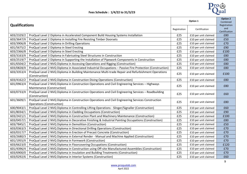

| <b>Qualifications</b> |                                                                                                                                        |              | Option 1             | <b>Option 2</b><br>Combined<br>Registration |
|-----------------------|----------------------------------------------------------------------------------------------------------------------------------------|--------------|----------------------|---------------------------------------------|
|                       |                                                                                                                                        | Registration | Certification        | and<br>Certification                        |
| 603/2329/2            | ProQual Level 2 Diploma in Accelerated Component Build Housing Systems Installation                                                    | £25          | £10 per unit claimed | £80                                         |
| 603/3647/X            | ProQual Level 2 Diploma in Installing Fire Resisting Timber Doorsets                                                                   | £25          | £10 per unit claimed | £50                                         |
| 603/3906/8            | ProQual Level 2 Diploma in Drilling Operations                                                                                         | £25          | £10 per unit claimed | £70                                         |
| 601/5675/2            | ProQual Level 2 Diploma in Steel Erecting                                                                                              | £25          | £10 per unit claimed | £90                                         |
| 603/2366/8            | ProQual Level 3 Diploma in Steel Erecting                                                                                              | £25          | £10 per unit claimed | £100                                        |
| 603/3163/X            | ProQual Level 3 Diploma in Fabricating Steel Structures in Construction                                                                | £25          | £10 per unit claimed | £80                                         |
| 603/2519/7            | ProQual Level 2 Diploma in Supporting the Installation of Pipework Components in Construction                                          | £25          | £10 per unit claimed | £80                                         |
| 601/6504/2            | ProQual Level 2 NVQ Diploma in Accessing Operations and Rigging (Construction)                                                         | £25          | £10 per unit claimed | £80                                         |
| 603/0828/X            | ProQual Level 2 NVQ Diploma in Associated Industrial Occupations - Passive Fire Protection (Construction)                              | £25          | £10 per unit claimed | £80                                         |
| 603/3353/4            | ProQual Level 2 NVQ Diploma in Building Maintenance Multi-trade Repair and Refurbishment Operations<br>(Construction)                  | £25          | £10 per unit claimed | £100                                        |
| 603/4162/2            | ProQual Level 2 NVQ Diploma in Construction Diving Operations (Construction)                                                           | £25          | £10 per unit claimed | £80                                         |
| 601/0963/4            | ProQual Level 2 NVQ Diploma in Construction Operations and Civil Engineering Services - Highways<br>Maintenance (Construction)         | £25          | £10 per unit claimed | £80                                         |
| 603/0733/X            | ProQual Level 2 NVQ Diploma in Construction Operations and Civil Engineering Services - Roadbuilding<br>(Construction)                 | £25          | £10 per unit claimed | £60                                         |
| 601/3609/1            | ProQual Level 2 NVQ Diploma in Construction Operations and Civil Engineering Services Construction<br><b>Operations (Construction)</b> | £25          | £10 per unit claimed | £80                                         |
| 600/9043/1            | ProQual Level 2 NVQ Diploma in Controlling Lifting Operations - Slinger/Signaller (Construction)                                       | £25          | £10 per unit claimed | £60                                         |
| 601/8034/1            | ProQual Level 2 NVQ Diploma in Cladding Occupations (Construction)                                                                     | £25          | £10 per unit claimed | £90                                         |
| 603/2421/1            | ProQual Level 2 NVQ Diploma in Construction Plant and Machinery Maintenance (Construction)                                             | £25          | £10 per unit claimed | £100                                        |
| 603/0457/1            | ProQual Level 2 NVQ Diploma in Decorative Finishing & Industrial Painting Occupations (Construction)                                   | £25          | £10 per unit claimed | £80                                         |
| 603/7845/1            | ProQual Level 2 NVQ Diploma in Demolition (Construction)                                                                               | £25          | £10 per unit claimed | £50                                         |
| 603/0363/3            | ProQual Level 2 NVQ Diploma in Directional Drilling Operations (Construction)                                                          | £25          | £10 per unit claimed | £70                                         |
| 603/0317/7            | ProQual Level 2 NVQ Diploma in Erection of Precast Concrete (Construction)                                                             | £25          | £10 per unit claimed | £70                                         |
| 603/2680/3            | ProQual Level 2 NVQ Diploma in External Render - Manual and Machine Applied (Construction)                                             | £25          | £10 per unit claimed | £70                                         |
| 601/1955/X            | ProQual Level 2 NVQ Diploma in Formwork (Construction)                                                                                 | £25          | £10 per unit claimed | £70                                         |
| 603/6623/0            | ProQual Level 2 NVQ Diploma in Floorcovering Occupations (Construction)                                                                | £25          | £10 per unit claimed | £120                                        |
| 601/4396/4            | ProQual Level 2 NVQ Diploma in Construction using Off-site Manufactured Assemblies (Construction)                                      | £25          | £10 per unit claimed | £70                                         |
| 603/6900/0            | ProQual Level 2 NVQ Diploma in Insulation and Building Treatments (Construction)                                                       | £25          | £10 per unit claimed | £70                                         |
| 603/0292/6            | ProQual Level 2 NVQ Diploma in Interior Systems (Construction)                                                                         | £25          | £10 per unit claimed | £60                                         |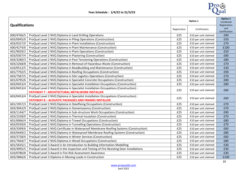

| <b>Qualifications</b> |                                                                                          |              | Option 1             | Option 2<br>Combined<br>Registration |
|-----------------------|------------------------------------------------------------------------------------------|--------------|----------------------|--------------------------------------|
|                       |                                                                                          | Registration | Certification        | and<br>Certification                 |
| 600/4766/5            | ProQual Level 2 NVQ Diploma in Land Drilling Operations                                  | £25          | £10 per unit claimed | £90                                  |
| 603/0045/0            | ProQual Level 2 NVQ Diploma in Piling Operations (Construction)                          | £25          | £10 per unit claimed | £50                                  |
| 603/0327/X            | ProQual Level 2 NVQ Diploma in Plant Installations (Construction)                        | £25          | £10 per unit claimed | £70                                  |
| 600/4274/6            | ProQual Level 2 NVQ Diploma in Plant Maintenance (Construction)                          | £25          | £10 per unit claimed | £100                                 |
| 601/9029/2            | ProQual Level 2 NVQ Diploma in Plant Operations (Construction)                           | £25          | £10 per unit claimed | £50                                  |
| 603/0307/4            | ProQual Level 2 NVQ Diploma in Plastering (Construction)                                 | £25          | £10 per unit claimed | £80                                  |
| 603/3280/3            | ProQual Level 2 NVQ Diploma in Post Tensioning Operations (Construction)                 | £25          | £10 per unit claimed | £80                                  |
| 603/2268/8            | ProQual Level 2 NVQ Diploma in Removal of Hazardous Waste (Construction)                 | £25          | £10 per unit claimed | £70                                  |
| 610/0512/5            | ProQual Level 2 NVQ Diploma in Roadbuilding and Maintenance (Construction)               | £25          | £10 per unit claimed | £30                                  |
| 601/7792/5            | ProQual Level 2 NVQ Diploma in Roofing Occupations (Construction)                        | £25          | £10 per unit claimed | £90                                  |
| 603/7587/5            | ProQual Level 2 NVQ Diploma in Site Logistics Operations (Construction)                  | £25          | £10 per unit claimed | £70                                  |
| 601/6795/6            | ProQual Level 2 NVQ Diploma in Specialist Concrete Occupations (Construction)            | £25          | £10 per unit claimed | £80                                  |
| 603/0453/4            | ProQual Level 2 NVQ Diploma in Specialist Installation Occupations (Construction)        | £25          | £10 per unit claimed | £80                                  |
| 603/0453/4            | ProQual Level 2 NVQ Diploma in Specialist Installation Occupations (Construction) :      | £25          | £10 per unit claimed | £60                                  |
|                       | <b>PATHWAY 7 - ARCHITECTURAL METALWORK INSTALLER</b>                                     |              |                      |                                      |
| 603/0453/4            | ProQual Level 2 NVQ Diploma in Specialist Installation Occupations (Construction) :      | £25          | £10 per unit claimed | £60                                  |
|                       | <b>PATHWAY 8 - ACOUSTIC PACKAGES AND FRAMES INSTALLER</b>                                |              |                      |                                      |
| 601/1957/3            | ProQual Level 2 NVQ Diploma in Steelfixing Occupations (Construction)                    | £25          | £10 per unit claimed | £70                                  |
| 603/3042/9            | ProQual Level 2 NVQ Diploma in Stonemasonry (Construction)                               | £25          | £10 per unit claimed | £70                                  |
| 603/1144/7            | ProQual Level 2 NVQ Diploma in Sub-structure Work Occupations (Construction)             | £25          | £10 per unit claimed | £90                                  |
| 603/2328/0            | ProQual Level 2 NVQ Diploma in Thermal Insulation (Construction)                         | £25          | £10 per unit claimed | £70                                  |
| 601/6066/4            | ProQual Level 2 NVQ Diploma in Trowel Occupations (Construction)                         | £25          | £10 per unit claimed | £80                                  |
| 603/0339/6            | ProQual Level 2 NVQ Diploma in Tunnelling Operations (Construction)                      | £25          | £10 per unit claimed | £70                                  |
| 603/3399/6            | ProQual Level 2 NVQ Certificate in Waterproof Membrane Roofing Systems (Construction)    | £25          | £10 per unit claimed | £60                                  |
| 603/0449/2            | ProQual Level 2 NVQ Diploma in Waterproof Membrane Roofing Systems (Construction)        | £25          | £10 per unit claimed | £80                                  |
| 603/3728/X            | ProQual Level 2 NVQ Diploma in Winter Services (Construction)                            | £25          | £10 per unit claimed | £60                                  |
| 601/7664/7            | ProQual Level 2 NVQ Diploma in Wood Occupations (Construction)                           | £25          | £10 per unit claimed | £80                                  |
| 601/5635/1            | ProQual Level 3 Award in An Introduction to Building Information Modelling               | £25          | £10 per unit claimed | £30                                  |
| 603/4995/5            | ProQual Level 3 Award in the Inspection and Testing of Fire Resisting Door Installations | £25          | £10 per unit claimed | £30                                  |
| 610/0780/8            | ProQual Level 3 Award in Fire Risk Assessment Awareness                                  | £25          | £10 per unit claimed | £30                                  |
| 603/2866/6            | ProQual Level 3 Diploma in Moving Loads in Construction                                  | £25          | £10 per unit claimed | £100                                 |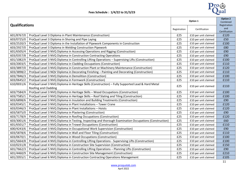

| <b>Qualifications</b> |                                                                                                                           |              | Option 1             |                                      |
|-----------------------|---------------------------------------------------------------------------------------------------------------------------|--------------|----------------------|--------------------------------------|
|                       |                                                                                                                           | Registration | Certification        | Registration<br>and<br>Certification |
| 601/8767/0            | ProQual Level 3 Diploma in Plant Maintenance (Construction)                                                               | £25          | £10 per unit claimed | £120                                 |
| 603/0725/0            | ProQual Level 3 Diploma in Shoring and Pipe Laying                                                                        | £25          | £10 per unit claimed | £50                                  |
| 603/2520/3            | ProQual Level 3 Diploma in the Installation of Pipework Components in Construction                                        | £25          | £10 per unit claimed | £100                                 |
| 603/2927/0            | ProQual Level 3 Diploma in Welding Construction Pipework                                                                  | £25          | £10 per unit claimed | £80                                  |
| 601/6505/4            | ProQual Level 3 NVQ Diploma in Accessing Operations and Rigging (Construction)                                            | £25          | £10 per unit claimed | £90                                  |
| 603/0357/8            | ProQual Level 3 NVQ Diploma in Construction Contracting Operations                                                        | £25          | £10 per unit claimed | £90                                  |
| 601/1082/X            | ProQual Level 3 NVQ Diploma in Controlling Lifting Operations - Supervising Lifts (Construction)                          | £25          | £10 per unit claimed | £100                                 |
| 603/2003/5            | ProQual Level 3 NVQ Diploma in Cladding Occupations (Construction)                                                        | £25          | £10 per unit claimed | £110                                 |
| 603/3897/0            | ProQual Level 3 NVQ Diploma in Construction Plant or Machinery Maintenance (Construction)                                 | £25          | £10 per unit claimed | £120                                 |
| 603/3898/2            | ProQual Level 3 NQV Diploma in Decorating Finishing - Painting and Decorating (Construction)                              | £25          | £10 per unit claimed | £110                                 |
| 603/7846/3            | ProQual Level 3 NVQ Diploma in Demolition (Construction)                                                                  | £25          | £10 per unit claimed | £100                                 |
| 603/0645/2            | ProQual Level 3 NVQ Diploma in Formwork (Construction)                                                                    | £25          | £10 per unit claimed | £110                                 |
| 610/0031/6            | ProQual Level 3 NVQ Diploma in Heritage Skills (Construction) - Fully Supported Lead & Hard Metal<br>Roofing and Cladding | £25          | £10 per unit claimed | £110                                 |
| 603/7584/X            | ProQual Level 3 NVQ Diploma in Heritage Skills - Wood Occupations (Construction)                                          | £25          | £10 per unit claimed | £100                                 |
| 603/7585/1            | ProQual Level 3 NVQ Diploma in Heritage Skills - Roof Slating and Tiling (Construction)                                   | £25          | £10 per unit claimed | £100                                 |
| 603/6898/6            | ProQual Level 3 NVQ Diploma in Insulation and Building Treatments (Construction)                                          | £25          | £10 per unit claimed | £90                                  |
| 603/0345/1            | ProQual Level 3 NVQ Diploma in Plant Installations - Tower Crane                                                          | £25          | £10 per unit claimed | £120                                 |
| 603/0346/3            | ProQual Level 3 NVQ Diploma in Plant Installations - Hoists                                                               | £25          | £10 per unit claimed | £120                                 |
| 603/5875/0            | ProQual Level 3 NVQ Diploma in Plastering (Construction)                                                                  | £25          | £10 per unit claimed | £90                                  |
| 603/7178/X            | ProQual Level 3 NVQ Diploma in Roofing Occupations (Construction)                                                         | £25          | £10 per unit claimed | £120                                 |
| 603/3001/6            | ProQual Level 3 NVQ Diploma in Testing, Inspecting and thorough Examination Occupations (Construction)                    | £25          | £10 per unit claimed | £60                                  |
| 601/6501/7            | ProQual Level 3 NVQ Diploma in Trowel Occupations (Construction)                                                          | £25          | £10 per unit claimed | £110                                 |
| 600/4243/6            | ProQual Level 3 NVQ Diploma in Occupational Work Supervision (Construction)                                               | £25          | £10 per unit claimed | £90                                  |
| 603/5878/6            | ProQual Level 3 NVQ Diploma in Wall and Floor Tiling (Construction)                                                       | £25          | £10 per unit claimed | £110                                 |
| 603/0670/1            | ProQual Level 3 NVQ Diploma in Wood Occupations (Construction)                                                            | £25          | £10 per unit claimed | £100                                 |
| 601/5664/8            | ProQual Level 4 NVQ Diploma in Controlling Lifting Operations - Supervising Lifts (Construction)                          | £25          | £10 per unit claimed | £100                                 |
| 610/0231/8            | ProQual Level 4 NVQ Diploma in Construction Site Supervision (Construction)                                               | £25          | £10 per unit claimed | £150                                 |
| 601/7662/3            | ProQual Level 5 NVQ Diploma in Controlling Lifting Operations - Planning Lifts (Construction)                             | £25          | £10 per unit claimed | £90                                  |
| 601/4460/9            | ProQual Level 6 NVQ Diploma in Construction Site Management (Construction)                                                | £25          | £10 per unit claimed | £210                                 |
| 601/2055/1            | ProQual Level 6 NVQ Diploma in Construction Contracting Operations Management                                             | £25          | £10 per unit claimed | £105                                 |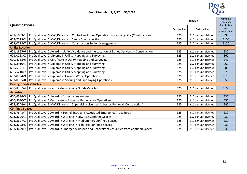

| <b>Qualifications</b>         |                                                                                                |              | Option 1             | <b>Option 2</b><br>Combined<br>Registration |  |
|-------------------------------|------------------------------------------------------------------------------------------------|--------------|----------------------|---------------------------------------------|--|
|                               |                                                                                                | Registration | Certification        | and<br>Certification                        |  |
| 601/1083/1                    | ProQual Level 6 NVQ Diploma in Controlling Lifting Operations - Planning Lifts (Construction)  | £25          | £10 per unit claimed | £90                                         |  |
| 603/7515/2                    | ProQual Level 6 NVQ Diploma in Senior Site Inspection                                          | £25          | £10 per unit claimed | £100                                        |  |
| 603/0298/7                    | ProQual Level 7 NVQ Diploma in Construction Senior Management                                  | £25          | £10 per unit claimed | £120                                        |  |
| <b>Utility Location</b>       |                                                                                                |              |                      |                                             |  |
| 601/1855/6                    | ProQual Level 2 Award in Utility Avoidance and the Location of Buried Services in Construction | £25          | £10 per unit claimed | £30                                         |  |
| 603/0263/X                    | ProQual Level 2 Diploma in Utility Mapping and Surveying                                       | £25          | £10 per unit claimed | £60                                         |  |
| 600/4758/6                    | ProQual Level 3 Certificate in Utility Mapping and Surveying                                   | £25          | £10 per unit claimed | £40                                         |  |
| 601/8910/1                    | ProQual Level 4 Diploma in Utility Mapping and Surveying                                       | £25          | £10 per unit claimed | £60                                         |  |
| 600/5171/1                    | ProQual Level 5 Diploma in Utility Mapping and Surveying                                       | £25          | £10 per unit claimed | £80                                         |  |
| 600/5210/7                    | ProQual Level 6 Diploma in Utility Mapping and Surveying                                       | £25          | £10 per unit claimed | £70                                         |  |
| 603/0724/9                    | ProQual Level 2 Diploma in Ground Works Operations                                             | £25          | £10 per unit claimed | £110                                        |  |
| 603/0725/0                    | ProQual Level 3 Diploma in Shoring and Pipe Laying Operations                                  | £25          | £10 per unit claimed | £50                                         |  |
| <b>Driving Goods Vehicles</b> |                                                                                                |              |                      |                                             |  |
| 600/8307/4                    | ProQual Level 2 Certificate in Driving Goods Vehicles                                          | £25          | £10 per unit claimed | £105                                        |  |
| <b>Asbestos</b>               |                                                                                                |              |                      |                                             |  |
| 600/6386/5                    | ProQual Level 2 Award in Asbestos Awareness                                                    | £25          | £10 per unit claimed | £30                                         |  |
| 600/5630/7                    | ProQual Level 2 Certificate in Asbestos Removal for Operatives                                 | £25          | £10 per unit claimed | £50                                         |  |
| 603/4244/4                    | ProQual Level 3 NVQ Diploma in Supervising Licensed Asbestos Removal (Construction)            | £25          | £10 per unit claimed | £90                                         |  |
| <b>Confined Spaces</b>        |                                                                                                |              |                      |                                             |  |
| 603/7848/7                    | ProQual Level 2 Award in Tunnel Entry and Associated Emergency Procedures                      | £25          | £10 per unit claimed | £30                                         |  |
| 603/3696/1                    | ProQual Level 2 Award in Working in Low Risk Confined Spaces                                   | £25          | £10 per unit claimed | £30                                         |  |
| 603/3697/3                    | ProQual Level 2 Award in Working in Medium Risk Confined Spaces                                | £25          | £10 per unit claimed | £30                                         |  |
| 603/3698/5                    | ProQual Level 2 Award in Working in High Risk Confined Spaces                                  | £25          | £10 per unit claimed | £30                                         |  |
| 603/3699/7                    | ProQual Level 3 Award in Emergency Rescue and Recovery of Casualties from Confined Spaces      | £25          | £10 per unit claimed | £30                                         |  |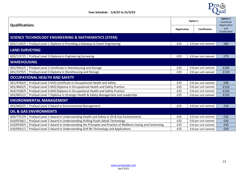

| <b>Qualifications</b> |                                                                                                     |     | Option 1                      | <b>Option 2</b><br>Combined<br>Registration |
|-----------------------|-----------------------------------------------------------------------------------------------------|-----|-------------------------------|---------------------------------------------|
|                       |                                                                                                     |     | Certification<br>Registration | and<br>Certification                        |
|                       | SCIENCE TECHNOLOGY ENGINEERING & MATHEMATICS (STEM)                                                 |     |                               |                                             |
| 603/1140/X            | ProQual Level 1 Diploma in Providing a Gateway to Smart Engineering                                 | £25 | £10 per unit claimed          | £80                                         |
| <b>LAND SURVEYING</b> |                                                                                                     |     |                               |                                             |
|                       | 603/1157/5   ProQual Level 3 Diploma in Engineering Surveying                                       | £25 | £10 per unit claimed          | £70                                         |
| <b>WAREHOUSING</b>    |                                                                                                     |     |                               |                                             |
| 601/3032/5            | ProQual Level 2 Certificate in Warehousing and Storage                                              | £25 | £10 per unit claimed          | £100                                        |
| 601/2379/5            | ProQual Level 3 Diploma in Warehousing and Storage                                                  | £25 | £10 per unit claimed          | £130                                        |
|                       | <b>OCCUPATIONAL HEALTH AND SAFETY</b>                                                               |     |                               |                                             |
| 601/4766/0            | ProQual Level 3 NVQ Certificate in Occupational Health and Safety                                   | £25 | £10 per unit claimed          | £90                                         |
| 601/4665/5            | ProQual Level 5 NVQ Diploma in Occupational Health and Safety Practice                              | £25 | £10 per unit claimed          | £120                                        |
| 603/3106/9            | ProQual Level 6 NVQ Diploma in Occupational Health and Safety Practice                              | £25 | £10 per unit claimed          | £120                                        |
| 603/6851/2            | ProQual Level 7 Diploma in Strategic Health & Safety Management and Leadership                      | £25 | £10 per unit claimed          | £120                                        |
|                       | <b>ENVIRONMENTAL MANAGEMENT</b>                                                                     |     |                               |                                             |
| 603/6603/5            | ProQual Level 3 Award in Environmental Management                                                   | £25 | £10 per unit claimed          | £30                                         |
|                       | <b>OIL &amp; GAS ENVIRONMENTS</b>                                                                   |     |                               |                                             |
| 603/7757/4            | ProQual Level 1 Award in Understanding Health and Safety in Oil & Gas Environments                  | £25 | £10 per unit claimed          | £30                                         |
| 610/0538/1            | ProQual Level 2 Award in Understanding Drilling Fluids (Mud) Technology                             | £25 | £10 per unit claimed          | £30                                         |
| 610/0539/3            | ProQual Level 2 Award in Understanding the Principles and Practice of Wellbore Casing and Cementing | £25 | £10 per unit claimed          | £30                                         |
| 610/0541/1            | ProQual Level 2 Award in Understanding Drill Bit Technology and Applications                        | £25 | £10 per unit claimed          | £30                                         |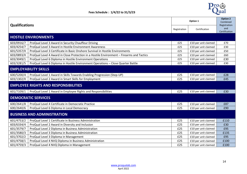

| <b>Qualifications</b>       |                                                                                           |     | Option 1             | <b>Option 2</b><br>Combined          |  |
|-----------------------------|-------------------------------------------------------------------------------------------|-----|----------------------|--------------------------------------|--|
|                             |                                                                                           |     | Certification        | Registration<br>and<br>Certification |  |
|                             | <b>HOSTILE ENVIRONMENTS</b>                                                               |     |                      |                                      |  |
| 603/0916/7                  | ProQual Level 3 Award in Security Chauffeur Driving                                       | £25 | £10 per unit claimed | £70                                  |  |
| 603/4254/7                  | ProQual Level 3 Award in Hostile Environment Awareness                                    | £25 | £10 per unit claimed | £30                                  |  |
| 601/5357/X                  | ProQual Level 3 Certificate in Basic Onshore Survival in Hostile Environments             | £25 | £10 per unit claimed | £50                                  |  |
| 603/0893/X                  | ProQual Level 4 Award in Close Protection in a Hostile Environment - Firearms and Tactics | £25 | £10 per unit claimed | £60                                  |  |
| 603/3049/1                  | ProQual Level 6 Diploma in Hostile Environment Operations                                 | £25 | £10 per unit claimed | £30                                  |  |
| 603/3281/5                  | ProQual Level 6 Diploma in Hostile Environment Operations - Close Quarter Battle          | £25 | £10 per unit claimed | £30                                  |  |
| <b>EMPLOYABILITY SKILLS</b> |                                                                                           |     |                      |                                      |  |
| 600/5200/4                  | ProQual Level 1 Award in Skills Towards Enabling Progression (Step-UP)                    | £25 | £10 per unit claimed | £28                                  |  |
| 603/1302/X                  | ProQual Level 2 Award in Smart Skills for Employment                                      | £25 | £10 per unit claimed | £45                                  |  |
|                             | <b>EMPLOYEE RIGHTS AND RESPONSIBILITIES</b>                                               |     |                      |                                      |  |
| 601/7109/1                  | ProQual Level 1 Award in Employee Rights and Responsibilities                             | £25 | £10 per unit claimed | £30                                  |  |
|                             | <b>DEMOCRATIC SERVICES</b>                                                                |     |                      |                                      |  |
| 600/2641/8                  | ProQual Level 4 Certificate in Democratic Practice                                        | £25 | £10 per unit claimed | £87                                  |  |
| 600/2640/6                  | ProQual Level 6 Diploma in Local Democracy                                                | £25 | £10 per unit claimed | £90                                  |  |
|                             | <b>BUSINESS AND ADMINISTRATION</b>                                                        |     |                      |                                      |  |
| 601/4753/2                  | ProQual Level 1 Certificate in Business Administration                                    | £25 | £10 per unit claimed | £110                                 |  |
| 603/6334/4                  | ProQual Level 2 Award in Diversity and Inclusion                                          | £25 | £10 per unit claimed | £30                                  |  |
| 601/3579/7                  | ProQual Level 2 Diploma in Business Administration                                        | £25 | £10 per unit claimed | £95                                  |  |
| 601/3580/3                  | ProQual Level 3 Diploma in Business Administration                                        | £25 | £10 per unit claimed | £135                                 |  |
| 601/3702/2                  | ProQual Level 3 Diploma in Management                                                     | £25 | £10 per unit claimed | £95                                  |  |
| 601/4758/1                  | ProQual Level 4 NVQ Diploma in Business Administration                                    | £25 | £10 per unit claimed | £100                                 |  |
| 601/4759/3                  | ProQual Level 4 NVQ Diploma in Management                                                 | £25 | £10 per unit claimed | £100                                 |  |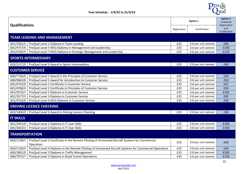

|                            |                                                                                                       |              |                      | <b>Option 2</b>     |  |
|----------------------------|-------------------------------------------------------------------------------------------------------|--------------|----------------------|---------------------|--|
|                            |                                                                                                       |              | Option 1             |                     |  |
| <b>Qualifications</b>      |                                                                                                       |              |                      | Registration<br>and |  |
|                            |                                                                                                       | Registration | Certification        | Certification       |  |
|                            | <b>TEAM LEADING AND MANAGEMENT</b>                                                                    |              |                      |                     |  |
|                            |                                                                                                       |              |                      |                     |  |
| 601/3581/5                 | ProQual Level 2 Diploma in Team Leading                                                               | £25          | £10 per unit claimed | £85                 |  |
| 601/4757/X                 | ProQual Level 5 NVQ Diploma in Management and Leadership                                              | £25          | £10 per unit claimed | £100                |  |
| 601/4760/X                 | ProQual Level 7 NVQ Diploma in Strategic Management and Leadership                                    | £25          | £10 per unit claimed | £110                |  |
| <b>SPORTS INTERMEDIARY</b> |                                                                                                       |              |                      |                     |  |
| 603/5317/X                 | ProQual Level 3 Award in Sports Intermediary                                                          | £25          | £10 per unit claimed | £40                 |  |
| <b>CUSTOMER SERVICE</b>    |                                                                                                       |              |                      |                     |  |
| 600/7736/0                 | ProQual Level 1 Award in the Principles of Customer Service                                           | £25          | £10 per unit claimed | £30                 |  |
| 600/5863/8                 | ProQual Level 1 Award for Introduction to Customer Service                                            | £25          | £10 per unit claimed | £50                 |  |
| 601/4755/6                 | ProQual Level 1 Certificate in Customer Service                                                       | £25          | £10 per unit claimed | £67                 |  |
| 601/4768/4                 | ProQual Level 2 Certificate in Principles of Customer Service                                         | £25          | £10 per unit claimed | £50                 |  |
| 601/3576/1                 | ProQual Level 2 Diploma in Customer Service                                                           | £25          | £10 per unit claimed | £105                |  |
| 601/3577/3                 | ProQual Level 3 Diploma in Customer Service                                                           | £25          | £10 per unit claimed | £95                 |  |
| 601/4756/8                 | ProQual Level 4 NVQ Diploma in Customer Service                                                       | £25          | £10 per unit claimed | £90                 |  |
|                            | <b>DRIVING LICENCE CHECKING</b>                                                                       |              |                      |                     |  |
| 603/1400/X                 | ProQual Level 3 Award in Driving Licence Checking                                                     | £25          | £10 per unit claimed | £30                 |  |
| <b>IT SKILLS</b>           |                                                                                                       |              |                      |                     |  |
| 601/3441/0                 | ProQual Level 2 Diploma in IT User Skills                                                             | £25          | £10 per unit claimed | £100                |  |
| 601/3442/2                 | ProQual Level 3 Diploma in IT User Skills                                                             | £25          | £10 per unit claimed | £100                |  |
| <b>TRANSPORTATION</b>      |                                                                                                       |              |                      |                     |  |
| 603/1138/1                 | ProQual Level 3 Certificate in the Remote Piloting of Unmanned Aircraft Systems for Commercial        |              |                      |                     |  |
|                            | Operation                                                                                             | £25          | £10 per unit claimed | £40                 |  |
| 603/1139/3                 | ProQual Level 4 Diploma in the Remote Piloting of Unmanned Aircraft Systems for Commercial Operations | £25          | £10 per unit claimed | £50                 |  |
| 603/2801/0                 | ProQual Level 3 Diploma in Traffic Management                                                         | £25          | £10 per unit claimed | £100                |  |
| 600/7975/7                 | ProQual Level 3 Diploma in Road Tunnel Operations                                                     | £25          | £10 per unit claimed | £130                |  |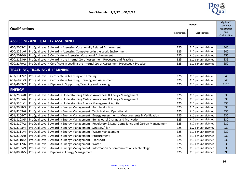

| <b>Qualifications</b>                    |                                                                                                  |     | Option 1             | <b>Option 2</b><br>Combined<br>Registration |  |
|------------------------------------------|--------------------------------------------------------------------------------------------------|-----|----------------------|---------------------------------------------|--|
|                                          |                                                                                                  |     | Certification        | and<br>Certification                        |  |
|                                          | <b>ASSESSING AND QUALITY ASSURANCE</b>                                                           |     |                      |                                             |  |
| 600/2005/2                               | ProQual Level 3 Award in Assessing Vocationally Related Achievement                              | £25 | £10 per unit claimed | £40                                         |  |
| 600/2251/6                               | ProQual Level 3 Award in Assessing Competence in the Work Environment                            | £25 | £10 per unit claimed | £40                                         |  |
| 600/2020/9                               | ProQual Level 3 Certificate in Assessing Vocational Achievement                                  | £25 | £10 per unit claimed | £50                                         |  |
| 600/2163/9                               | ProQual Level 4 Award in the Internal QA of Assessment Processes and Practice                    | £25 | £10 per unit claimed | £35                                         |  |
| 600/2179/2                               | ProQual Level 4 Certificate in Leading the Internal QA of Assessment Processes + Practice        | £25 | £10 per unit claimed | £50                                         |  |
| <b>TEACHING, TRAINING &amp; LEARNING</b> |                                                                                                  |     |                      |                                             |  |
| 603/1312/2                               | ProQual Level 3 Certificate in Teaching and Training                                             | £25 | £10 per unit claimed | £40                                         |  |
| 601/6821/3                               | ProQual Level 3 Certificate in Teaching, Training and Assessment                                 | £25 | £10 per unit claimed | £40                                         |  |
| 603/4609/7                               | ProQual Level 4 Diploma in Supporting Teaching and Learning                                      | £25 | £10 per unit claimed | £120                                        |  |
| <b>ENERGY</b>                            |                                                                                                  |     |                      |                                             |  |
| 601/2506/8                               | ProQual Level 1 Award in Understanding Carbon Awareness & Energy Management                      | £25 | £10 per unit claimed | £30                                         |  |
| 601/2505/6                               | ProQual Level 2 Award in Understanding Carbon Awareness & Energy Management                      | £25 | £10 per unit claimed | £30                                         |  |
| 601/5361/1                               | ProQual Level 3 Award in Understanding Energy Management Audits                                  | £25 | £10 per unit claimed | £30                                         |  |
| 601/9098/3                               | ProQual Level 3 Award in Energy Management : An Introduction                                     | £25 | £10 per unit claimed | £30                                         |  |
| 601/8109/6                               | ProQual Level 3 Award in Energy Management : Technical and Operational                           | £25 | £10 per unit claimed | £30                                         |  |
| 601/8104/7                               | ProQual Level 3 Award in Energy Management : Energy Assessments, Measurements & Verification     | £25 | £10 per unit claimed | £30                                         |  |
| 601/8103/5                               | ProQual Level 3 Award in Energy Management : Behavioural Change and Motivation                   | £25 | £10 per unit claimed | £30                                         |  |
| 601/8107/2                               | ProQual Level 3 Award in Energy Management : Regulatory & Legal Compliance and Carbon Management | £25 | £10 per unit claimed | £30                                         |  |
| 601/8108/4                               | ProQual Level 3 Award in Energy Management : Strategy/Plan                                       | £25 | £10 per unit claimed | £30                                         |  |
| 601/8111/4                               | ProQual Level 3 Award in Energy Management : Waste Management                                    | £25 | £10 per unit claimed | £30                                         |  |
| 601/8106/0                               | ProQual Level 3 Award in Energy Management : Procurement                                         | £25 | £10 per unit claimed | £30                                         |  |
| 601/8110/2                               | ProQual Level 3 Award in Energy Management : Transport                                           | £25 | £10 per unit claimed | £30                                         |  |
| 601/8112/6                               | ProQual Level 3 Award in Energy Management : Water                                               | £25 | £10 per unit claimed | £30                                         |  |
| 601/8105/9                               | ProQual Level 3 Award in Energy Management : Information & Communications Technology             | £25 | £10 per unit claimed | £30                                         |  |
| 601/8098/5                               | ProQual Level 3 Diploma in Energy Management                                                     | £25 | £10 per unit claimed | £90                                         |  |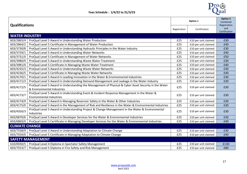

| <b>Qualifications</b>    |                                                                                                                                     | Option 1     |                      | <b>Option 2</b><br>Combined          |  |  |  |  |
|--------------------------|-------------------------------------------------------------------------------------------------------------------------------------|--------------|----------------------|--------------------------------------|--|--|--|--|
|                          |                                                                                                                                     | Registration | Certification        | Registration<br>and<br>Certification |  |  |  |  |
| <b>WATER INDUSTRY</b>    |                                                                                                                                     |              |                      |                                      |  |  |  |  |
| 603/2865/4               | ProQual Level 5 Award in Understanding Water Production                                                                             | £25          | £10 per unit claimed | £30                                  |  |  |  |  |
| 603/2864/2               | ProQual Level 5 Certificate in Management of Water Production                                                                       | £25          | £10 per unit claimed | £40                                  |  |  |  |  |
| 603/3730/8               | ProQual Level 5 Award in Understanding Hydraulic Principles in the Water Industry                                                   | £25          | £10 per unit claimed | £30                                  |  |  |  |  |
| 603/3729/1               | ProQual Level 5 Award in Understanding Water Networks                                                                               | £25          | £10 per unit claimed | £40                                  |  |  |  |  |
| 603/3731/X               | ProQual Level 5 Certificate in Management of Water Networks                                                                         | £25          | £10 per unit claimed | £50                                  |  |  |  |  |
| 603/3980/9               | ProQual Level 5 Award in Understanding Waste Water Treatment                                                                        | £25          | £10 per unit claimed | £30                                  |  |  |  |  |
| 603/3981/0               | ProQual Level 5 Certificate in Managing Waste Water Treatment                                                                       | £25          | £10 per unit claimed | £40                                  |  |  |  |  |
| 603/4235/3               | ProQual Level 5 Award in Understanding Waste Water Networks                                                                         | £25          | £10 per unit claimed | £30                                  |  |  |  |  |
| 603/4236/5               | ProQual Level 5 Certificate in Managing Waste Water Networks                                                                        | £25          | £10 per unit claimed | £40                                  |  |  |  |  |
| 603/4170/1               | ProQual Level 5 Award in Leading Innovation in the Water & Environmental Industries                                                 | £25          | £10 per unit claimed | £30                                  |  |  |  |  |
| 603/4171/3               | ProQual Level 5 Award in Understanding Demand Management and Leakage in the Water Industry                                          | £25          | £10 per unit claimed | £30                                  |  |  |  |  |
| 603/4172/5               | ProQual Level 5 Award in Understanding the Management of Physical & Cyber Asset Security in the Water<br>& Environmental Industries | £25          | £10 per unit claimed | £30                                  |  |  |  |  |
| 603/4173/7               | ProQual Level 5 Award in Understanding Event & Incident Response Management in the Water &<br><b>Environmental Industries</b>       | £25          | £10 per unit claimed | £30                                  |  |  |  |  |
| 603/4174/9               | ProQual Level 5 Award in Managing Reservoir Safety in the Water & Other Industries                                                  | £25          | £10 per unit claimed | £30                                  |  |  |  |  |
| 603/4175/0               | ProQual Level 5 Award in the Management of Risk and Resilience in the Water & Environmental Industries                              | £25          | £10 per unit claimed | £30                                  |  |  |  |  |
| 603/4350/3               | ProQual Level 5 Award in Understanding Project & Change Management in the Water & Environmental<br>Industries                       | £25          | £10 per unit claimed | £30                                  |  |  |  |  |
| 603/6870/6               | ProQual Level 5 Award in Developer Services for the Water & Environmental Industries                                                | £25          | £10 per unit claimed | £30                                  |  |  |  |  |
| 603/6869/X               | ProQual Level 5 Certificate in Managing Developer Services for the Water & Environmental Industries                                 | £25          | £10 per unit claimed | £40                                  |  |  |  |  |
| <b>CLIMATE CHANGE</b>    |                                                                                                                                     |              |                      |                                      |  |  |  |  |
| 603/7558/9               | ProQual Level 3 Award in Understanding Adaptation to Climate Change                                                                 | £25          | £10 per unit claimed | £30                                  |  |  |  |  |
| 603/7559/0               | ProQual Level 5 Certificate in Managing Adaptation to Climate Change                                                                | £25          | £10 per unit claimed | £40                                  |  |  |  |  |
| <b>SAFETY MANAGEMENT</b> |                                                                                                                                     |              |                      |                                      |  |  |  |  |
| 610/0030/5               | ProQual Level 4 Diploma in Spectator Safety Management                                                                              | £25          | £10 per unit claimed | £130                                 |  |  |  |  |
| 603/7553/7               | ProQual Level 5 Diploma in Fire Safety and Risk Management                                                                          | £25          | £10 per unit claimed | £80                                  |  |  |  |  |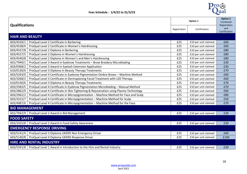

| <b>Qualifications</b>             |                                                                                       | Option 1     |                      | <b>Option 2</b><br>Combined          |  |  |
|-----------------------------------|---------------------------------------------------------------------------------------|--------------|----------------------|--------------------------------------|--|--|
|                                   |                                                                                       | Registration | Certification        | Registration<br>and<br>Certification |  |  |
| <b>HAIR AND BEAUTY</b>            |                                                                                       |              |                      |                                      |  |  |
| 603/4539/1                        | ProQual Level 2 Certificate in Barbering                                              | £25          | £10 per unit claimed | £60                                  |  |  |
| 603/4538/X                        | ProQual Level 2 Certificate in Women's Hairdressing                                   | £25          | £10 per unit claimed | £60                                  |  |  |
| 603/4537/8                        | ProQual Level 2 Diploma in Barbering                                                  | £25          | £10 per unit claimed | £80                                  |  |  |
| 603/4527/5                        | ProQual Level 2 Diploma in Women's Hairdressing                                       | £25          | £10 per unit claimed | £80                                  |  |  |
| 603/4540/8                        | ProQual Level 2 Diploma in Women's and Men's Hairdressing                             | £25          | £10 per unit claimed | £80                                  |  |  |
| 601/7949/1                        | ProQual Level 3 Award in Eyebrow Treatments - Brow Broidery Microblading              | £25          | £10 per unit claimed | £30                                  |  |  |
| 603/0368/2                        | ProQual Level 3 Award in Eyelash Extension Application                                | £25          | £10 per unit claimed | £30                                  |  |  |
| 610/0130/6                        | ProQual Level 3 Diploma in Beauty Therapy Treatments                                  | £25          | £10 per unit claimed | £70                                  |  |  |
| 603/5293/0                        | ProQual Level 4 Certificate in Eyebrow Pigmentation Ombre Brows - Machine Method      | £25          | £10 per unit claimed | £60                                  |  |  |
| 603/3268/2                        | ProQual Level 3 Certificate in Dermaplaning Facial Treatment with LED Therapy         | £25          | £10 per unit claimed | £60                                  |  |  |
| 610/0130/6                        | ProQual Level 3 Diploma in Beauty Therapy Treatments                                  | £25          | £10 per unit claimed | £70                                  |  |  |
| 603/2583/5                        | ProQual Level 4 Certificate in Eyebrow Pigmentation Microblading - Manual Method      | £25          | £10 per unit claimed | £70                                  |  |  |
| 603/2862/9                        | ProQual Level 4 Certificate in Skin Tightening & Rejuvenation using Plasma Technology | £25          | £10 per unit claimed | £60                                  |  |  |
| 603/2962/2                        | ProQual Level 4 Certificate in Micropigmentation - Machine Method for Face and Scalp  | £25          | £10 per unit claimed | £80                                  |  |  |
| 603/3315/7                        | ProQual Level 4 Certificate in Micropigmentation - Machine Method for Scalp           | £25          | £10 per unit claimed | £50                                  |  |  |
| 603/4987/6                        | ProQual Level 4 Certificate in Micropigmentation - Machine Method for the Face        | £25          | £10 per unit claimed | £70                                  |  |  |
| <b>BID MANAGEMENT</b>             |                                                                                       |              |                      |                                      |  |  |
|                                   | 601/7942/9   ProQual Level 2 Award in Bid Management                                  | £25          | £10 per unit claimed | £30                                  |  |  |
| <b>FOOD SAFETY</b>                |                                                                                       |              |                      |                                      |  |  |
| 603/3325/8                        | ProQual Level 2 Award in Food Safety Awareness                                        | £25          | £10 per unit claimed | £30                                  |  |  |
| <b>EMERGENCY RESPONSE DRIVING</b> |                                                                                       |              |                      |                                      |  |  |
| 603/5141/X                        | ProQual Level 3 Diploma UKERD Non Emergency Driver                                    | £25          | £10 per unit claimed | £60                                  |  |  |
| 603/5140/8                        | ProQual Level 4 Diploma UKERD Response Driver                                         | £25          | £10 per unit claimed | £100                                 |  |  |
| <b>HIRE AND RENTAL INDUSTRY</b>   |                                                                                       |              |                      |                                      |  |  |
|                                   | 603/5591/8   ProQual Level 1 Award in Introduction to the Hire and Rental Industry    | £25          | £10 per unit claimed | £30                                  |  |  |